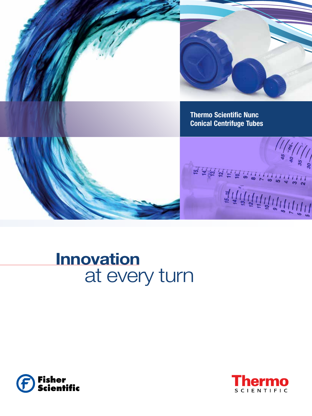

化化化双化化合乙二二二二二

 $\frac{1}{4}\sum_{i=1}^{n}\sum_{i=1}^{n}\sum_{i=1}^{n}\sum_{i=1}^{n}\sum_{i=1}^{n}\sum_{i=1}^{n}\sum_{i=1}^{n}\sum_{i=1}^{n}\sum_{i=1}^{n}\sum_{i=1}^{n}\sum_{i=1}^{n}\sum_{i=1}^{n}\sum_{i=1}^{n}\sum_{i=1}^{n}\sum_{i=1}^{n}\sum_{i=1}^{n}\sum_{i=1}^{n}\sum_{i=1}^{n}\sum_{i=1}^{n}\sum_{i=1}^{n}\sum_{i=1}^{n}\sum_{i=1}^{n}\sum_{i=1}^{n}\sum_{i=1}$ 

**Thermo Scientific Nunc Conical Centrifuge Tubes** 

**Innovation** 

at every turn



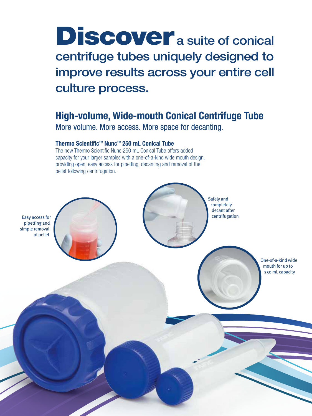## Discover a suite of conical centrifuge tubes uniquely designed to improve results across your entire cell culture process.

## High-volume, Wide-mouth Conical Centrifuge Tube

More volume. More access. More space for decanting.

#### Thermo Scientific™ Nunc™ 250 mL Conical Tube

The new Thermo Scientific Nunc 250 mL Conical Tube offers added capacity for your larger samples with a one-of-a-kind wide mouth design, providing open, easy access for pipetting, decanting and removal of the pellet following centrifugation.

Easy access for pipetting and simple removal of pellet

> One-of-a-kind wide mouth for up to 250 mL capacity

Safely and completely decant after centrifugation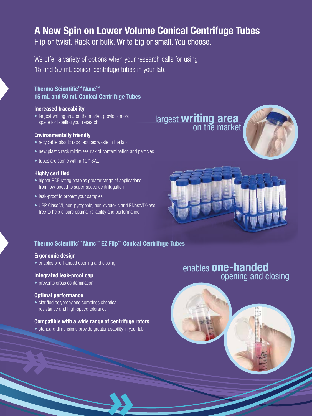### A New Spin on Lower Volume Conical Centrifuge Tubes Flip or twist. Rack or bulk. Write big or small. You choose.

We offer a variety of options when your research calls for using 15 and 50 mL conical centrifuge tubes in your lab.

#### Thermo Scientific™ Nunc™ 15 mL and 50 mL Conical Centrifuge Tubes

#### Increased traceability

• largest writing area on the market provides more space for labeling your research

#### Environmentally friendly

- recyclable plastic rack reduces waste in the lab
- new plastic rack minimizes risk of contamination and particles
- tubes are sterile with a 10<sup>-6</sup> SAL

#### Highly certified

- higher RCF rating enables greater range of applications from low-speed to super-speed centrifugation
- leak-proof to protect your samples
- USP Class VI, non-pyrogenic, non-cytotoxic and RNase/DNase free to help ensure optimal reliability and performance





#### Thermo Scientific™ Nunc™ EZ Flip™ Conical Centrifuge Tubes

#### Ergonomic design

• enables one-handed opening and closing

#### Integrated leak-proof cap

• prevents cross contamination

#### Optimal performance

• clarified polypropylene combines chemical resistance and high-speed tolerance

#### Compatible with a wide range of centrifuge rotors

• standard dimensions provide greater usability in your lab

# enables **one-handed**<br>opening and closing